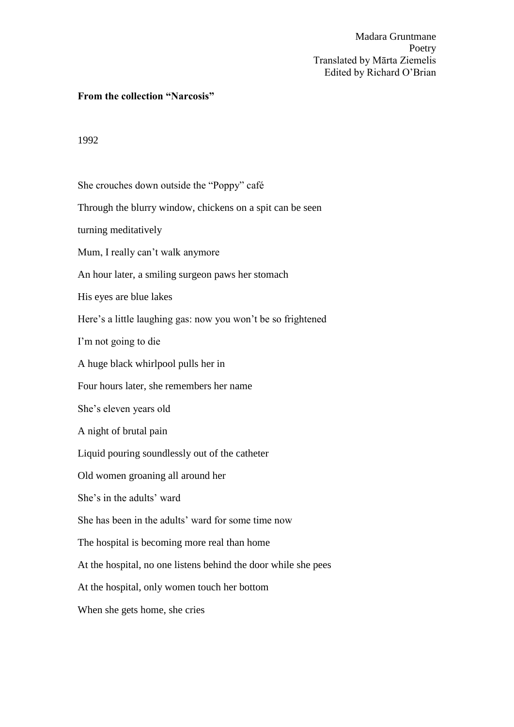## **From the collection "Narcosis"**

## 1992

She crouches down outside the "Poppy" café Through the blurry window, chickens on a spit can be seen turning meditatively Mum, I really can't walk anymore An hour later, a smiling surgeon paws her stomach His eyes are blue lakes Here's a little laughing gas: now you won't be so frightened I'm not going to die A huge black whirlpool pulls her in Four hours later, she remembers her name She's eleven years old A night of brutal pain Liquid pouring soundlessly out of the catheter Old women groaning all around her She's in the adults' ward She has been in the adults' ward for some time now The hospital is becoming more real than home At the hospital, no one listens behind the door while she pees At the hospital, only women touch her bottom When she gets home, she cries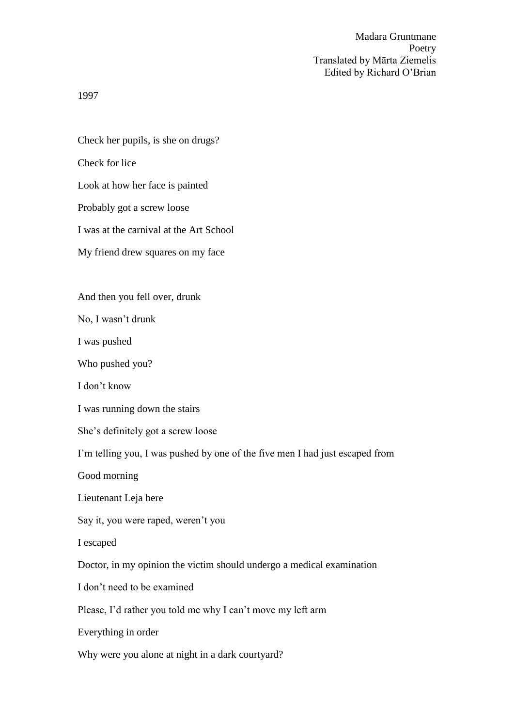1997

Check her pupils, is she on drugs? Check for lice Look at how her face is painted Probably got a screw loose I was at the carnival at the Art School My friend drew squares on my face

And then you fell over, drunk

No, I wasn't drunk

I was pushed

Who pushed you?

I don't know

I was running down the stairs

She's definitely got a screw loose

I'm telling you, I was pushed by one of the five men I had just escaped from

Good morning

Lieutenant Leja here

Say it, you were raped, weren't you

I escaped

Doctor, in my opinion the victim should undergo a medical examination

I don't need to be examined

Please, I'd rather you told me why I can't move my left arm

Everything in order

Why were you alone at night in a dark courtyard?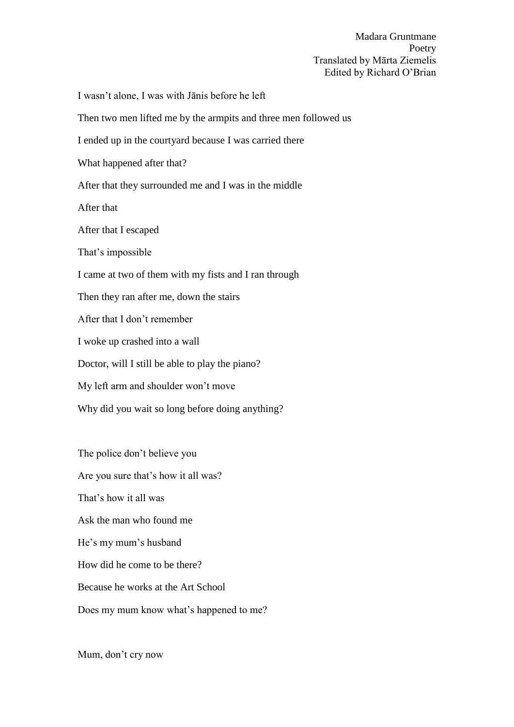I wasn't alone, I was with Jānis before he left Then two men lifted me by the armpits and three men followed us I ended up in the courtyard because I was carried there What happened after that? After that they surrounded me and I was in the middle After that After that I escaped That's impossible I came at two of them with my fists and I ran through Then they ran after me, down the stairs After that I don't remember I woke up crashed into a wall Doctor, will I still be able to play the piano? My left arm and shoulder won't move Why did you wait so long before doing anything? The police don't believe you Are you sure that's how it all was?

That's how it all was Ask the man who found me He's my mum's husband How did he come to be there? Because he works at the Art School Does my mum know what's happened to me?

Mum, don't cry now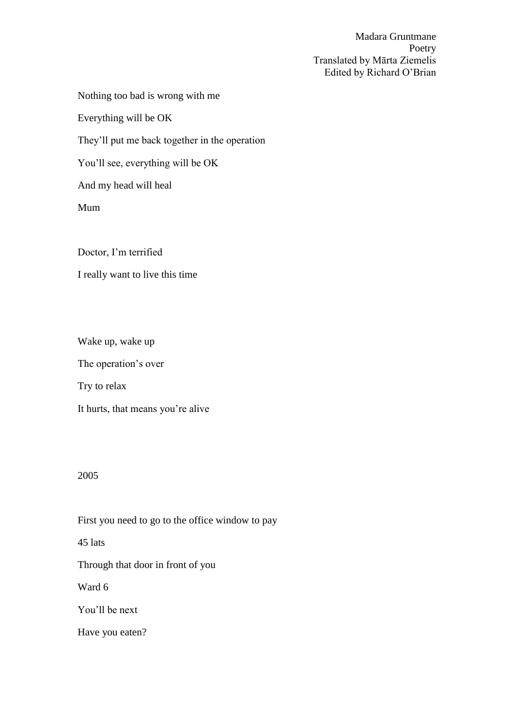Nothing too bad is wrong with me

Everything will be OK

They'll put me back together in the operation

You'll see, everything will be OK

And my head will heal

Mum

Doctor, I'm terrified I really want to live this time

Wake up, wake up

The operation's over

Try to relax

It hurts, that means you're alive

## 2005

First you need to go to the office window to pay 45 lats Through that door in front of you Ward 6 You'll be next Have you eaten?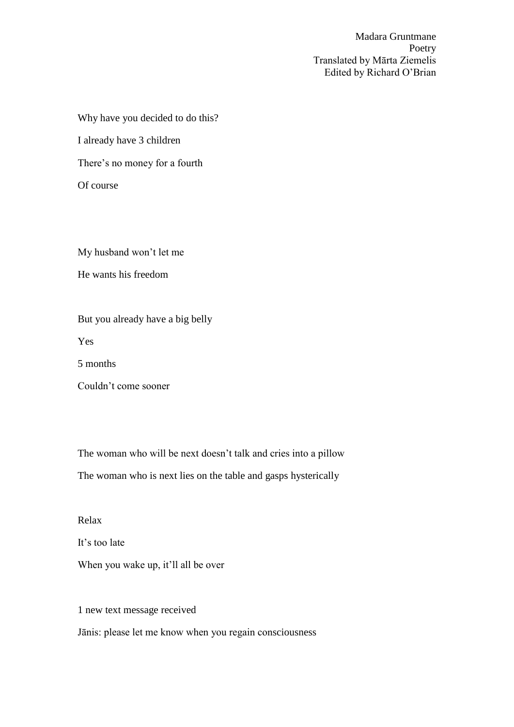Why have you decided to do this?

I already have 3 children

There's no money for a fourth

Of course

My husband won't let me He wants his freedom

But you already have a big belly

Yes

5 months

Couldn't come sooner

The woman who will be next doesn't talk and cries into a pillow

The woman who is next lies on the table and gasps hysterically

Relax

It's too late

When you wake up, it'll all be over

1 new text message received

Jānis: please let me know when you regain consciousness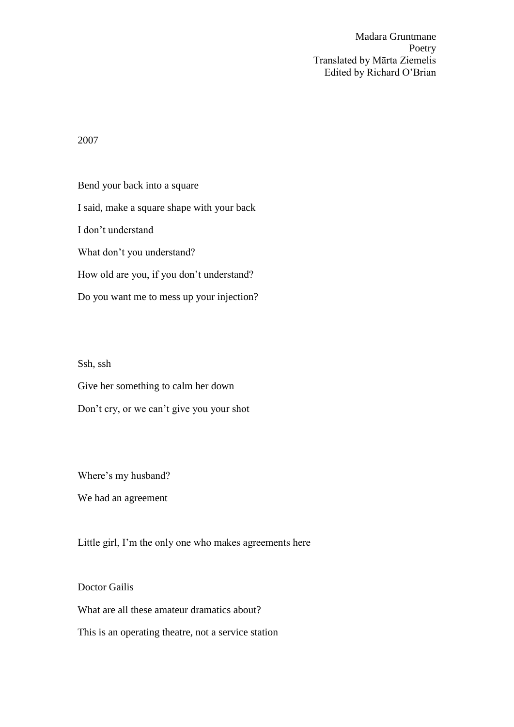2007

Bend your back into a square I said, make a square shape with your back I don't understand What don't you understand? How old are you, if you don't understand? Do you want me to mess up your injection?

Ssh, ssh

Give her something to calm her down

Don't cry, or we can't give you your shot

Where's my husband?

We had an agreement

Little girl, I'm the only one who makes agreements here

Doctor Gailis What are all these amateur dramatics about?

This is an operating theatre, not a service station